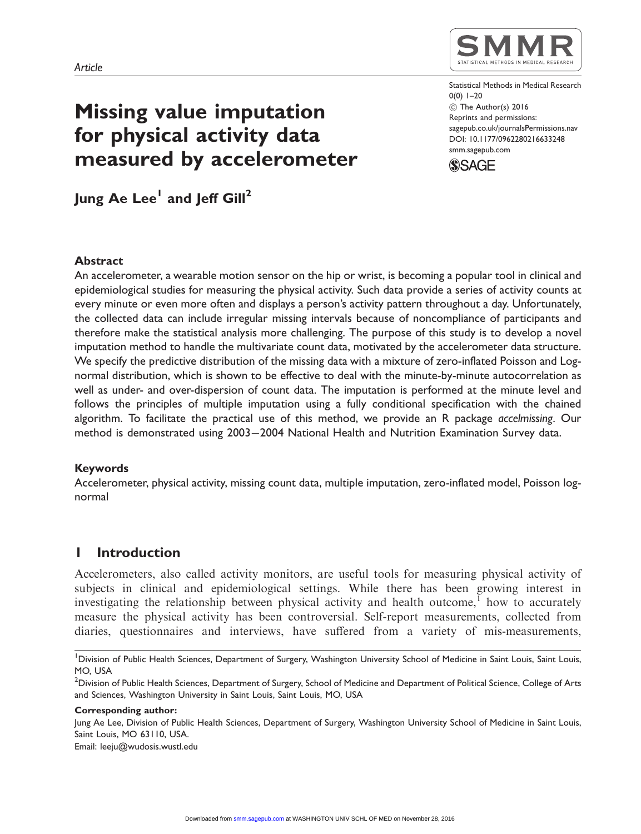# Missing value imputation for physical activity data measured by accelerometer

Jung  $Ae$  Lee<sup>1</sup> and Jeff Gill<sup>2</sup>



Statistical Methods in Medical Research  $0(0)$  1–20  $\circled{c}$  The Author(s) 2016 Reprints and permissions: sagepub.co.uk/journalsPermissions.nav DOI: 10.1177/0962280216633248 smm.sagepub.com



## Abstract

An accelerometer, a wearable motion sensor on the hip or wrist, is becoming a popular tool in clinical and epidemiological studies for measuring the physical activity. Such data provide a series of activity counts at every minute or even more often and displays a person's activity pattern throughout a day. Unfortunately, the collected data can include irregular missing intervals because of noncompliance of participants and therefore make the statistical analysis more challenging. The purpose of this study is to develop a novel imputation method to handle the multivariate count data, motivated by the accelerometer data structure. We specify the predictive distribution of the missing data with a mixture of zero-inflated Poisson and Lognormal distribution, which is shown to be effective to deal with the minute-by-minute autocorrelation as well as under- and over-dispersion of count data. The imputation is performed at the minute level and follows the principles of multiple imputation using a fully conditional specification with the chained algorithm. To facilitate the practical use of this method, we provide an R package accelmissing. Our method is demonstrated using 2003-2004 National Health and Nutrition Examination Survey data.

#### Keywords

Accelerometer, physical activity, missing count data, multiple imputation, zero-inflated model, Poisson lognormal

# 1 Introduction

Accelerometers, also called activity monitors, are useful tools for measuring physical activity of subjects in clinical and epidemiological settings. While there has been growing interest in investigating the relationship between physical activity and health outcome, $\frac{1}{2}$  how to accurately measure the physical activity has been controversial. Self-report measurements, collected from diaries, questionnaires and interviews, have suffered from a variety of mis-measurements,

Corresponding author:

Jung Ae Lee, Division of Public Health Sciences, Department of Surgery, Washington University School of Medicine in Saint Louis, Saint Louis, MO 63110, USA.

Email: leeju@wudosis.wustl.edu

<sup>&</sup>lt;sup>1</sup> Division of Public Health Sciences, Department of Surgery, Washington University School of Medicine in Saint Louis, Saint Louis, MO, USA

<sup>2</sup> Division of Public Health Sciences, Department of Surgery, School of Medicine and Department of Political Science, College of Arts and Sciences, Washington University in Saint Louis, Saint Louis, MO, USA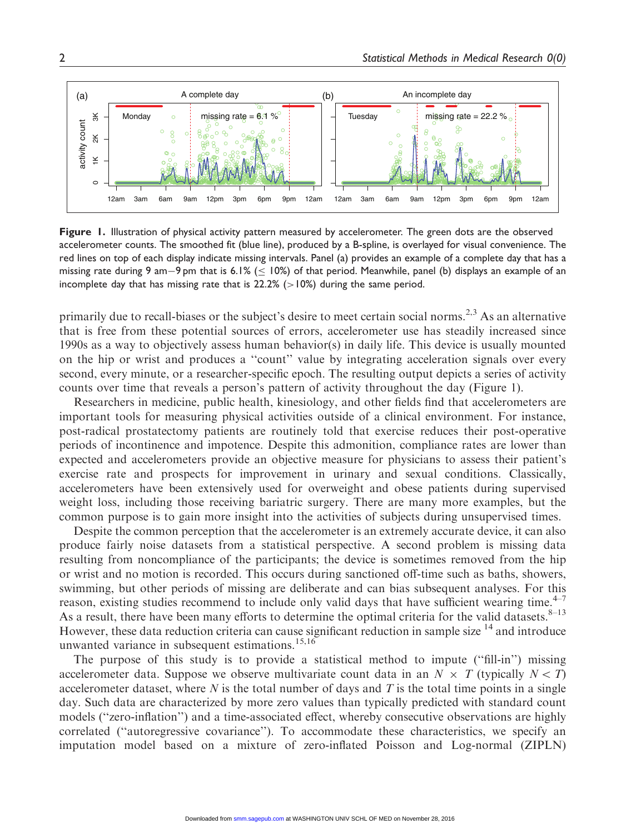

Figure 1. Illustration of physical activity pattern measured by accelerometer. The green dots are the observed accelerometer counts. The smoothed fit (blue line), produced by a B-spline, is overlayed for visual convenience. The red lines on top of each display indicate missing intervals. Panel (a) provides an example of a complete day that has a missing rate during 9 am—9pm that is 6.1% ( $\leq$  10%) of that period. Meanwhile, panel (b) displays an example of an incomplete day that has missing rate that is  $22.2\%$  ( $>10\%$ ) during the same period.

primarily due to recall-biases or the subject's desire to meet certain social norms.<sup>2,3</sup> As an alternative that is free from these potential sources of errors, accelerometer use has steadily increased since 1990s as a way to objectively assess human behavior(s) in daily life. This device is usually mounted on the hip or wrist and produces a ''count'' value by integrating acceleration signals over every second, every minute, or a researcher-specific epoch. The resulting output depicts a series of activity counts over time that reveals a person's pattern of activity throughout the day (Figure 1).

Researchers in medicine, public health, kinesiology, and other fields find that accelerometers are important tools for measuring physical activities outside of a clinical environment. For instance, post-radical prostatectomy patients are routinely told that exercise reduces their post-operative periods of incontinence and impotence. Despite this admonition, compliance rates are lower than expected and accelerometers provide an objective measure for physicians to assess their patient's exercise rate and prospects for improvement in urinary and sexual conditions. Classically, accelerometers have been extensively used for overweight and obese patients during supervised weight loss, including those receiving bariatric surgery. There are many more examples, but the common purpose is to gain more insight into the activities of subjects during unsupervised times. **Example 11** the state of the mixture of the state of the state of the state of the state of the state of the state of the state of the state of the state of the state of the state of the state of the mixture of the mixtu

Despite the common perception that the accelerometer is an extremely accurate device, it can also produce fairly noise datasets from a statistical perspective. A second problem is missing data resulting from noncompliance of the participants; the device is sometimes removed from the hip or wrist and no motion is recorded. This occurs during sanctioned off-time such as baths, showers, swimming, but other periods of missing are deliberate and can bias subsequent analyses. For this reason, existing studies recommend to include only valid days that have sufficient wearing time. $4-7$ As a result, there have been many efforts to determine the optimal criteria for the valid datasets.<sup>8-13</sup> However, these data reduction criteria can cause significant reduction in sample size <sup>14</sup> and introduce unwanted variance in subsequent estimations. $15,16$ 

The purpose of this study is to provide a statistical method to impute (''fill-in'') missing accelerometer data. Suppose we observe multivariate count data in an  $N \times T$  (typically  $N < T$ ) accelerometer dataset, where  $N$  is the total number of days and  $T$  is the total time points in a single day. Such data are characterized by more zero values than typically predicted with standard count models (''zero-inflation'') and a time-associated effect, whereby consecutive observations are highly correlated (''autoregressive covariance''). To accommodate these characteristics, we specify an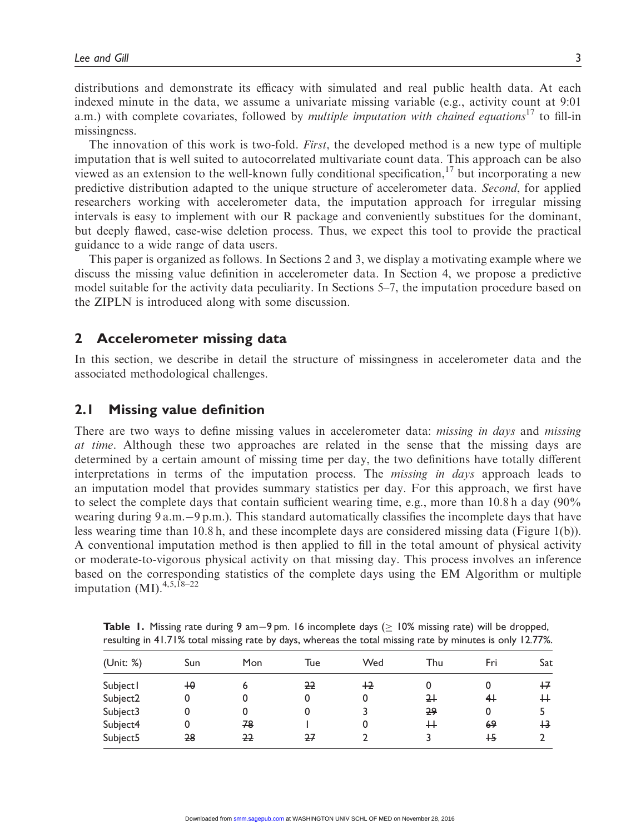The innovation of this work is two-fold. *First*, the developed method is a new type of multiple imputation that is well suited to autocorrelated multivariate count data. This approach can be also viewed as an extension to the well-known fully conditional specification,  $17$  but incorporating a new predictive distribution adapted to the unique structure of accelerometer data. Second, for applied researchers working with accelerometer data, the imputation approach for irregular missing intervals is easy to implement with our R package and conveniently substitues for the dominant, but deeply flawed, case-wise deletion process. Thus, we expect this tool to provide the practical guidance to a wide range of data users.

This paper is organized as follows. In Sections 2 and 3, we display a motivating example where we discuss the missing value definition in accelerometer data. In Section 4, we propose a predictive model suitable for the activity data peculiarity. In Sections 5–7, the imputation procedure based on the ZIPLN is introduced along with some discussion.

## 2 Accelerometer missing data

In this section, we describe in detail the structure of missingness in accelerometer data and the associated methodological challenges.

## 2.1 Missing value definition

There are two ways to define missing values in accelerometer data: *missing in days* and *missing* at time. Although these two approaches are related in the sense that the missing days are determined by a certain amount of missing time per day, the two definitions have totally different interpretations in terms of the imputation process. The *missing in days* approach leads to an imputation model that provides summary statistics per day. For this approach, we first have to select the complete days that contain sufficient wearing time, e.g., more than  $10.8$  h a day (90%) wearing during 9 a.m.-9 p.m.). This standard automatically classifies the incomplete days that have less wearing time than 10.8 h, and these incomplete days are considered missing data (Figure 1(b)). A conventional imputation method is then applied to fill in the total amount of physical activity or moderate-to-vigorous physical activity on that missing day. This process involves an inference based on the corresponding statistics of the complete days using the EM Algorithm or multiple imputation  $(MI)$ .<sup>4,5,18–22</sup>

| <b>Table 1.</b> Missing rate during 9 am-9 pm. 16 incomplete days ( $\geq$ 10% missing rate) will be dropped, |     |     |     |     |     |      |     |
|---------------------------------------------------------------------------------------------------------------|-----|-----|-----|-----|-----|------|-----|
| resulting in 41.71% total missing rate by days, whereas the total missing rate by minutes is only 12.77%.     |     |     |     |     |     |      |     |
| (Unit: %)                                                                                                     | Sun | Mon | Tue | Wed | Thu | Fri. | Sat |

| (Unit: %)            | Sun | Mon | Tue | Wed | Thu  | Fri            | Sat  |
|----------------------|-----|-----|-----|-----|------|----------------|------|
| Subject l            | 40  |     | 22  | +2  |      |                | $+7$ |
| Subject <sub>2</sub> |     |     |     |     | $2+$ | $\overline{4}$ | $^+$ |
| Subject3             |     |     |     |     | 29   |                |      |
| Subject4             |     | 78  |     |     | ₩    | 69             | $+3$ |
| Subject5             | 28  | 22  | 27  |     |      | $+5$           |      |
|                      |     |     |     |     |      |                |      |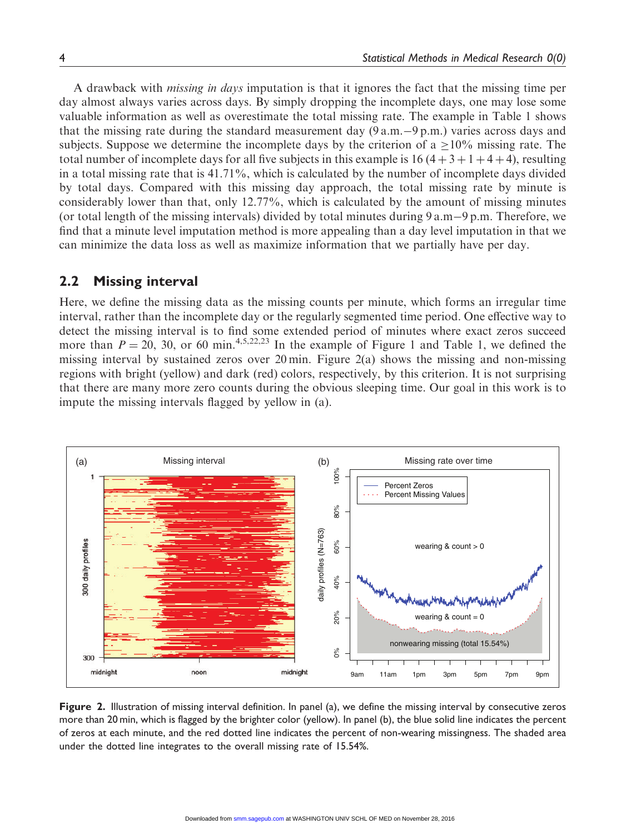A drawback with *missing in days* imputation is that it ignores the fact that the missing time per day almost always varies across days. By simply dropping the incomplete days, one may lose some valuable information as well as overestimate the total missing rate. The example in Table 1 shows that the missing rate during the standard measurement day (9 a.m.-9 p.m.) varies across days and subjects. Suppose we determine the incomplete days by the criterion of a  $\geq 10\%$  missing rate. The total number of incomplete days for all five subjects in this example is 16  $(4 + 3 + 1 + 4 + 4)$ , resulting in a total missing rate that is  $41.71\%$ , which is calculated by the number of incomplete days divided by total days. Compared with this missing day approach, the total missing rate by minute is considerably lower than that, only 12.77%, which is calculated by the amount of missing minutes (or total length of the missing intervals) divided by total minutes during 9 a.m-9 p.m. Therefore, we find that a minute level imputation method is more appealing than a day level imputation in that we can minimize the data loss as well as maximize information that we partially have per day.

## 2.2 Missing interval

Here, we define the missing data as the missing counts per minute, which forms an irregular time interval, rather than the incomplete day or the regularly segmented time period. One effective way to detect the missing interval is to find some extended period of minutes where exact zeros succeed more than  $P = 20$ , 30, or 60 min.<sup>4,5,22,23</sup> In the example of Figure 1 and Table 1, we defined the missing interval by sustained zeros over 20 min. Figure 2(a) shows the missing and non-missing regions with bright (yellow) and dark (red) colors, respectively, by this criterion. It is not surprising that there are many more zero counts during the obvious sleeping time. Our goal in this work is to impute the missing intervals flagged by yellow in (a).



Figure 2. Illustration of missing interval definition. In panel (a), we define the missing interval by consecutive zeros more than 20 min, which is flagged by the brighter color (yellow). In panel (b), the blue solid line indicates the percent of zeros at each minute, and the red dotted line indicates the percent of non-wearing missingness. The shaded area under the dotted line integrates to the overall missing rate of 15.54%.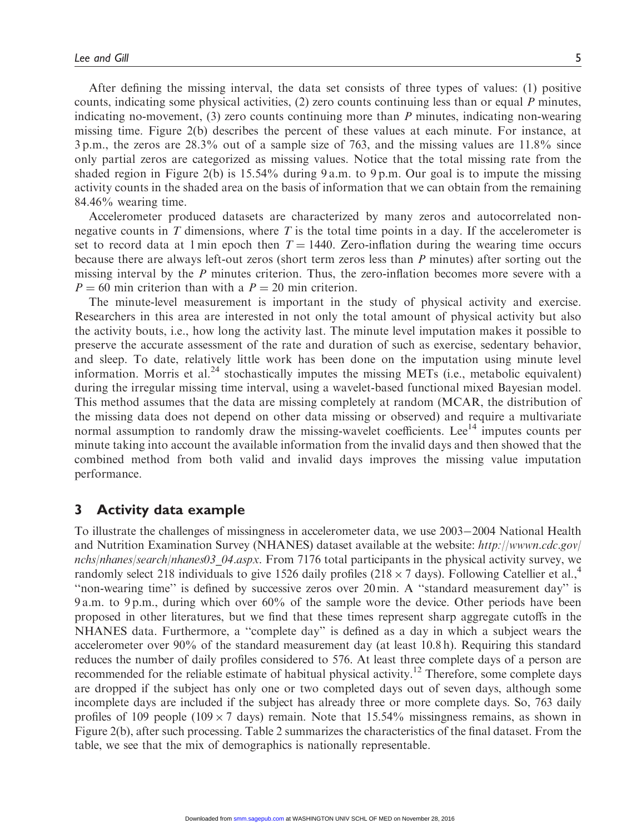After defining the missing interval, the data set consists of three types of values: (1) positive counts, indicating some physical activities, (2) zero counts continuing less than or equal P minutes, indicating no-movement,  $(3)$  zero counts continuing more than P minutes, indicating non-wearing missing time. Figure 2(b) describes the percent of these values at each minute. For instance, at 3 p.m., the zeros are 28.3% out of a sample size of 763, and the missing values are 11.8% since only partial zeros are categorized as missing values. Notice that the total missing rate from the shaded region in Figure 2(b) is  $15.54\%$  during 9 a.m. to 9 p.m. Our goal is to impute the missing activity counts in the shaded area on the basis of information that we can obtain from the remaining 84.46% wearing time.

Accelerometer produced datasets are characterized by many zeros and autocorrelated nonnegative counts in  $T$  dimensions, where  $T$  is the total time points in a day. If the accelerometer is set to record data at 1 min epoch then  $T = 1440$ . Zero-inflation during the wearing time occurs because there are always left-out zeros (short term zeros less than P minutes) after sorting out the missing interval by the P minutes criterion. Thus, the zero-inflation becomes more severe with a  $P = 60$  min criterion than with a  $P = 20$  min criterion.

The minute-level measurement is important in the study of physical activity and exercise. Researchers in this area are interested in not only the total amount of physical activity but also the activity bouts, i.e., how long the activity last. The minute level imputation makes it possible to preserve the accurate assessment of the rate and duration of such as exercise, sedentary behavior, and sleep. To date, relatively little work has been done on the imputation using minute level information. Morris et al.<sup>24</sup> stochastically imputes the missing METs (i.e., metabolic equivalent) during the irregular missing time interval, using a wavelet-based functional mixed Bayesian model. This method assumes that the data are missing completely at random (MCAR, the distribution of the missing data does not depend on other data missing or observed) and require a multivariate normal assumption to randomly draw the missing-wavelet coefficients. Lee<sup>14</sup> imputes counts per minute taking into account the available information from the invalid days and then showed that the combined method from both valid and invalid days improves the missing value imputation performance.

#### 3 Activity data example

To illustrate the challenges of missingness in accelerometer data, we use 2003-2004 National Health and Nutrition Examination Survey (NHANES) dataset available at the website: [http://wwwn.cdc.gov/](http://wwwn.cdc.gov/nchs/nhanes/search/nhanes03_04.aspx) [nchs/nhanes/search/nhanes03\\_04.aspx.](http://wwwn.cdc.gov/nchs/nhanes/search/nhanes03_04.aspx) From 7176 total participants in the physical activity survey, we randomly select 218 individuals to give 1526 daily profiles (218  $\times$  7 days). Following Catellier et al.,<sup>4</sup> ''non-wearing time'' is defined by successive zeros over 20 min. A ''standard measurement day'' is 9 a.m. to 9 p.m., during which over 60% of the sample wore the device. Other periods have been proposed in other literatures, but we find that these times represent sharp aggregate cutoffs in the NHANES data. Furthermore, a ''complete day'' is defined as a day in which a subject wears the accelerometer over 90% of the standard measurement day (at least 10.8 h). Requiring this standard reduces the number of daily profiles considered to 576. At least three complete days of a person are recommended for the reliable estimate of habitual physical activity.<sup>12</sup> Therefore, some complete days are dropped if the subject has only one or two completed days out of seven days, although some incomplete days are included if the subject has already three or more complete days. So, 763 daily profiles of 109 people (109  $\times$  7 days) remain. Note that 15.54% missingness remains, as shown in Figure 2(b), after such processing. Table 2 summarizes the characteristics of the final dataset. From the table, we see that the mix of demographics is nationally representable.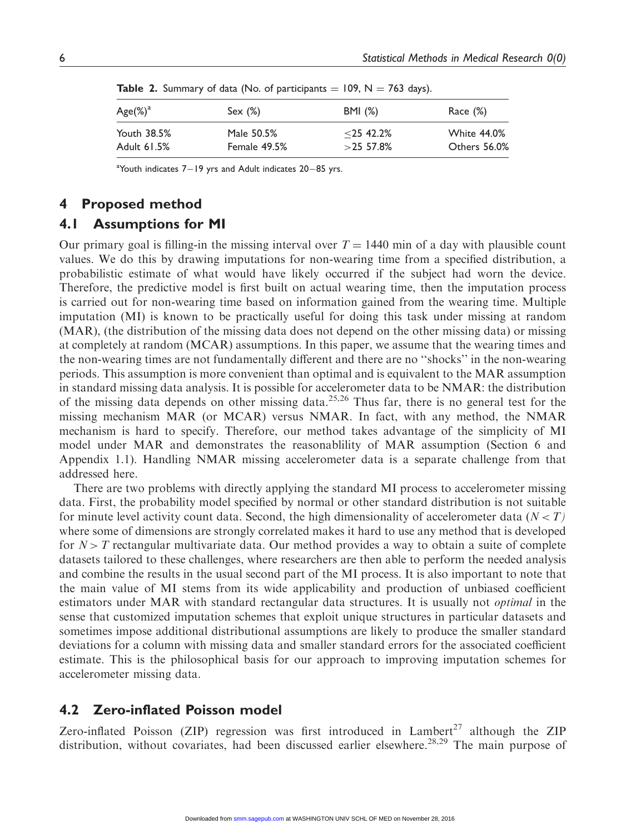| $Age(\%)^a$ | Sex $(\%)$   | BMI (%)       | Race $(\%)$         |
|-------------|--------------|---------------|---------------------|
| Youth 38.5% | Male 50.5%   | $<$ 25 42.2%  | <b>White 44.0%</b>  |
| Adult 61.5% | Female 49.5% | $>25\,57.8\%$ | <b>Others 56.0%</b> |
|             |              |               |                     |

**Table 2.** Summary of data (No. of participants  $= 109$ , N  $= 763$  days).

<sup>a</sup>Youth indicates 7–19 yrs and Adult indicates 20–85 yrs.

## 4 Proposed method

## 4.1 Assumptions for MI

Our primary goal is filling-in the missing interval over  $T = 1440$  min of a day with plausible count values. We do this by drawing imputations for non-wearing time from a specified distribution, a probabilistic estimate of what would have likely occurred if the subject had worn the device. Therefore, the predictive model is first built on actual wearing time, then the imputation process is carried out for non-wearing time based on information gained from the wearing time. Multiple imputation (MI) is known to be practically useful for doing this task under missing at random (MAR), (the distribution of the missing data does not depend on the other missing data) or missing at completely at random (MCAR) assumptions. In this paper, we assume that the wearing times and the non-wearing times are not fundamentally different and there are no ''shocks'' in the non-wearing periods. This assumption is more convenient than optimal and is equivalent to the MAR assumption in standard missing data analysis. It is possible for accelerometer data to be NMAR: the distribution of the missing data depends on other missing data.25,26 Thus far, there is no general test for the missing mechanism MAR (or MCAR) versus NMAR. In fact, with any method, the NMAR mechanism is hard to specify. Therefore, our method takes advantage of the simplicity of MI model under MAR and demonstrates the reasonablility of MAR assumption (Section 6 and Appendix 1.1). Handling NMAR missing accelerometer data is a separate challenge from that addressed here.

There are two problems with directly applying the standard MI process to accelerometer missing data. First, the probability model specified by normal or other standard distribution is not suitable for minute level activity count data. Second, the high dimensionality of accelerometer data  $(N < T)$ where some of dimensions are strongly correlated makes it hard to use any method that is developed for  $N > T$  rectangular multivariate data. Our method provides a way to obtain a suite of complete datasets tailored to these challenges, where researchers are then able to perform the needed analysis and combine the results in the usual second part of the MI process. It is also important to note that the main value of MI stems from its wide applicability and production of unbiased coefficient estimators under MAR with standard rectangular data structures. It is usually not optimal in the sense that customized imputation schemes that exploit unique structures in particular datasets and sometimes impose additional distributional assumptions are likely to produce the smaller standard deviations for a column with missing data and smaller standard errors for the associated coefficient estimate. This is the philosophical basis for our approach to improving imputation schemes for accelerometer missing data.

# 4.2 Zero-inflated Poisson model

Zero-inflated Poisson (ZIP) regression was first introduced in Lambert<sup>27</sup> although the ZIP distribution, without covariates, had been discussed earlier elsewhere.<sup>28,29</sup> The main purpose of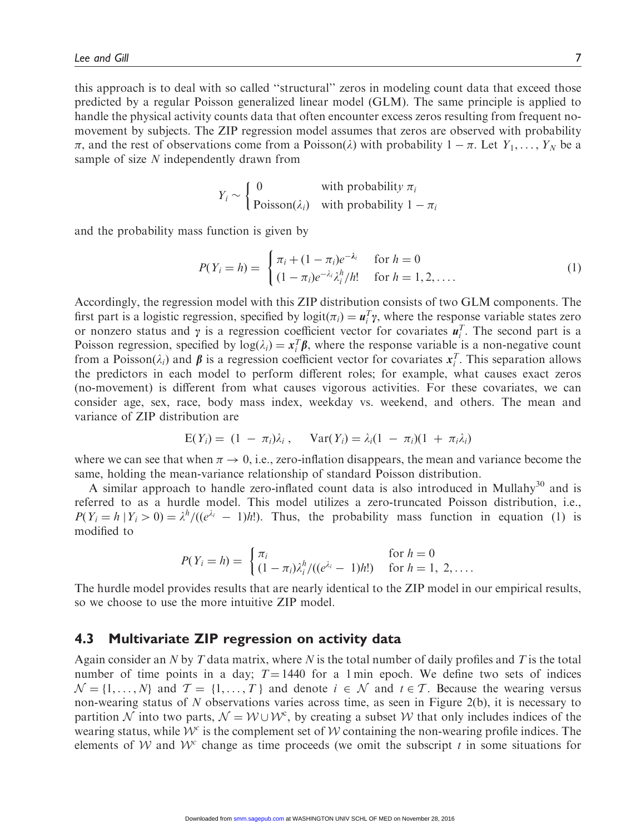this approach is to deal with so called ''structural'' zeros in modeling count data that exceed those predicted by a regular Poisson generalized linear model (GLM). The same principle is applied to handle the physical activity counts data that often encounter excess zeros resulting from frequent nomovement by subjects. The ZIP regression model assumes that zeros are observed with probability  $\pi$ , and the rest of observations come from a Poisson( $\lambda$ ) with probability  $1 - \pi$ . Let  $Y_1, \ldots, Y_N$  be a sample of size N independently drawn from

$$
Y_i \sim \begin{cases} 0 & \text{with probability } \pi_i \\ \text{Poisson}(\lambda_i) & \text{with probability } 1 - \pi_i \end{cases}
$$

and the probability mass function is given by

$$
P(Y_i = h) = \begin{cases} \pi_i + (1 - \pi_i)e^{-\lambda_i} & \text{for } h = 0\\ (1 - \pi_i)e^{-\lambda_i}\lambda_i^h/h! & \text{for } h = 1, 2, .... \end{cases}
$$
 (1)

Accordingly, the regression model with this ZIP distribution consists of two GLM components. The first part is a logistic regression, specified by  $logit(\pi_i) = u_i^T \gamma$ , where the response variable states zero or nonzero status and  $\gamma$  is a regression coefficient vector for covariates  $u_i^T$ . The second part is a Poisson regression, specified by  $log(\lambda_i) = x_i^T \beta$ , where the response variable is a non-negative count from a Poisson( $\lambda_i$ ) and  $\beta$  is a regression coefficient vector for covariates  $x_i^T$ . This separation allows the predictors in each model to perform different roles; for example, what causes exact zeros (no-movement) is different from what causes vigorous activities. For these covariates, we can consider age, sex, race, body mass index, weekday vs. weekend, and others. The mean and variance of ZIP distribution are

$$
E(Y_i) = (1 - \pi_i)\lambda_i, \quad Var(Y_i) = \lambda_i(1 - \pi_i)(1 + \pi_i\lambda_i)
$$

where we can see that when  $\pi \to 0$ , i.e., zero-inflation disappears, the mean and variance become the same, holding the mean-variance relationship of standard Poisson distribution.

A similar approach to handle zero-inflated count data is also introduced in Mullahy<sup>30</sup> and is referred to as a hurdle model. This model utilizes a zero-truncated Poisson distribution, i.e.,  $P(Y_i = h | Y_i > 0) = \lambda^h/((e^{\lambda_i} - 1)h!)$ . Thus, the probability mass function in equation (1) is modified to

$$
P(Y_i = h) = \begin{cases} \pi_i & \text{for } h = 0\\ (1 - \pi_i)\lambda_i^h/((e^{\lambda_i} - 1)h!) & \text{for } h = 1, 2, \dots \end{cases}
$$

The hurdle model provides results that are nearly identical to the ZIP model in our empirical results, so we choose to use the more intuitive ZIP model.

#### 4.3 Multivariate ZIP regression on activity data

Again consider an N by T data matrix, where N is the total number of daily profiles and T is the total number of time points in a day;  $T = 1440$  for a 1 min epoch. We define two sets of indices  $\mathcal{N} = \{1, \ldots, N\}$  and  $\mathcal{T} = \{1, \ldots, T\}$  and denote  $i \in \mathcal{N}$  and  $t \in \mathcal{T}$ . Because the wearing versus non-wearing status of N observations varies across time, as seen in Figure 2(b), it is necessary to partition N into two parts,  $N = W \cup W^c$ , by creating a subset W that only includes indices of the wearing status, while  $W^c$  is the complement set of W containing the non-wearing profile indices. The elements of W and  $W<sup>c</sup>$  change as time proceeds (we omit the subscript t in some situations for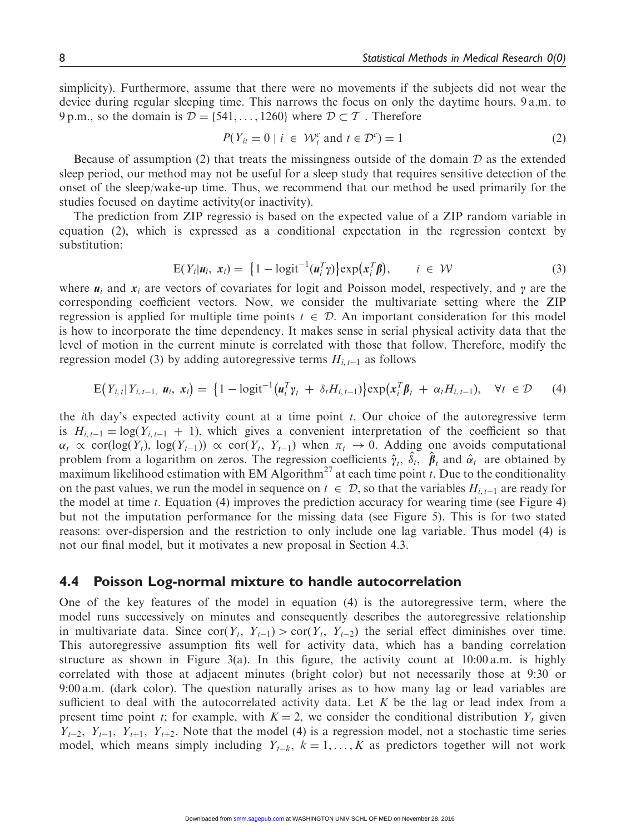simplicity). Furthermore, assume that there were no movements if the subjects did not wear the device during regular sleeping time. This narrows the focus on only the daytime hours, 9 a.m. to 9 p.m., so the domain is  $\mathcal{D} = \{541, \ldots, 1260\}$  where  $\mathcal{D} \subset \mathcal{T}$ . Therefore

$$
P(Y_{it} = 0 \mid i \in \mathcal{W}_t^c \text{ and } t \in \mathcal{D}^c) = 1
$$
 (2)

Because of assumption (2) that treats the missingness outside of the domain  $D$  as the extended sleep period, our method may not be useful for a sleep study that requires sensitive detection of the onset of the sleep/wake-up time. Thus, we recommend that our method be used primarily for the studies focused on daytime activity(or inactivity).

The prediction from ZIP regressio is based on the expected value of a ZIP random variable in equation (2), which is expressed as a conditional expectation in the regression context by substitution:

$$
E(Y_i|\mathbf{u}_i, \mathbf{x}_i) = \{1 - \logit^{-1}(\mathbf{u}_i^T \mathbf{y})\} \exp(\mathbf{x}_i^T \mathbf{\beta}), \qquad i \in \mathcal{W} \tag{3}
$$

where  $u_i$  and  $x_i$  are vectors of covariates for logit and Poisson model, respectively, and  $\gamma$  are the corresponding coefficient vectors. Now, we consider the multivariate setting where the ZIP regression is applied for multiple time points  $t \in \mathcal{D}$ . An important consideration for this model is how to incorporate the time dependency. It makes sense in serial physical activity data that the level of motion in the current minute is correlated with those that follow. Therefore, modify the regression model (3) by adding autoregressive terms  $H_{i, t-1}$  as follows

$$
E(Y_{i,t}|Y_{i,t-1}, u_i, x_i) = \left\{1 - \logit^{-1}\left(u_i^T \gamma_t + \delta_t H_{i,t-1}\right)\right\} \exp\left(x_i^T \beta_t + \alpha_t H_{i,t-1}\right), \quad \forall t \in \mathcal{D} \tag{4}
$$

the *i*th day's expected activity count at a time point  $t$ . Our choice of the autoregressive term is  $H_{i,t-1} = \log(Y_{i,t-1} + 1)$ , which gives a convenient interpretation of the coefficient so that  $\alpha_t \propto \text{cor}(\log(Y_t), \log(Y_{t-1})) \propto \text{cor}(Y_t, Y_{t-1})$  when  $\pi_t \to 0$ . Adding one avoids computational problem from a logarithm on zeros. The regression coefficients  $\hat{\gamma}_t$ ,  $\hat{\delta}_t$ ,  $\hat{\beta}_t$  and  $\hat{\alpha}_t$  are obtained by maximum likelihood estimation with EM Algorithm<sup>27</sup> at each time point  $t$ . Due to the conditionality on the past values, we run the model in sequence on  $t \in \mathcal{D}$ , so that the variables  $H_{i, t-1}$  are ready for the model at time  $t$ . Equation (4) improves the prediction accuracy for wearing time (see Figure 4) but not the imputation performance for the missing data (see Figure 5). This is for two stated reasons: over-dispersion and the restriction to only include one lag variable. Thus model (4) is not our final model, but it motivates a new proposal in Section 4.3.

#### 4.4 Poisson Log-normal mixture to handle autocorrelation

One of the key features of the model in equation (4) is the autoregressive term, where the model runs successively on minutes and consequently describes the autoregressive relationship in multivariate data. Since  $\text{cor}(Y_t, Y_{t-1}) > \text{cor}(Y_t, Y_{t-2})$  the serial effect diminishes over time. This autoregressive assumption fits well for activity data, which has a banding correlation structure as shown in Figure  $3(a)$ . In this figure, the activity count at  $10:00$  a.m. is highly correlated with those at adjacent minutes (bright color) but not necessarily those at 9:30 or 9:00 a.m. (dark color). The question naturally arises as to how many lag or lead variables are sufficient to deal with the autocorrelated activity data. Let  $K$  be the lag or lead index from a present time point t; for example, with  $K = 2$ , we consider the conditional distribution  $Y_t$  given  $Y_{t-2}$ ,  $Y_{t-1}$ ,  $Y_{t+1}$ ,  $Y_{t+2}$ . Note that the model (4) is a regression model, not a stochastic time series model, which means simply including  $Y_{t-k}$ ,  $k = 1, ..., K$  as predictors together will not work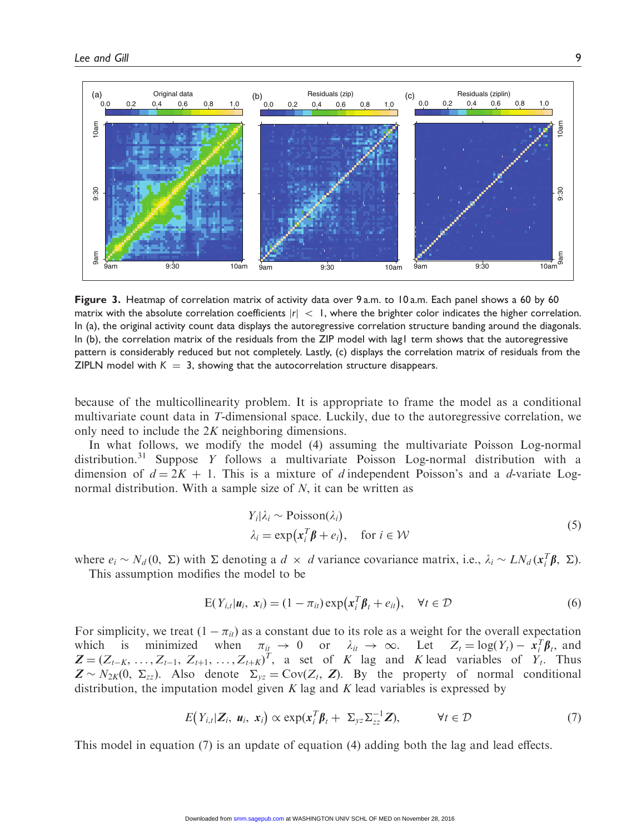

Figure 3. Heatmap of correlation matrix of activity data over 9 a.m. to 10 a.m. Each panel shows a 60 by 60 matrix with the absolute correlation coefficients  $|r| < 1$ , where the brighter color indicates the higher correlation. In (a), the original activity count data displays the autoregressive correlation structure banding around the diagonals. In (b), the correlation matrix of the residuals from the ZIP model with lag1 term shows that the autoregressive pattern is considerably reduced but not completely. Lastly, (c) displays the correlation matrix of residuals from the ZIPLN model with  $K = 3$ , showing that the autocorrelation structure disappears.

because of the multicollinearity problem. It is appropriate to frame the model as a conditional multivariate count data in T-dimensional space. Luckily, due to the autoregressive correlation, we only need to include the 2K neighboring dimensions.

In what follows, we modify the model (4) assuming the multivariate Poisson Log-normal distribution.<sup>31</sup> Suppose Y follows a multivariate Poisson Log-normal distribution with a dimension of  $d = 2K + 1$ . This is a mixture of d independent Poisson's and a d-variate Lognormal distribution. With a sample size of  $N$ , it can be written as

$$
Y_i | \lambda_i \sim \text{Poisson}(\lambda_i)
$$
  
\n
$$
\lambda_i = \exp(x_i^T \beta + e_i), \quad \text{for } i \in \mathcal{W}
$$
 (5)

where  $e_i \sim N_d(0, \Sigma)$  with  $\Sigma$  denoting a  $d \times d$  variance covariance matrix, i.e.,  $\lambda_i \sim LN_d(\mathbf{x}_i^T \boldsymbol{\beta}, \Sigma)$ .

This assumption modifies the model to be

$$
E(Y_{i,t}|\mathbf{u}_i, \mathbf{x}_i) = (1 - \pi_{it}) \exp(\mathbf{x}_i^T \boldsymbol{\beta}_t + e_{it}), \quad \forall t \in \mathcal{D}
$$
 (6)

For simplicity, we treat  $(1 - \pi_{it})$  as a constant due to its role as a weight for the overall expectation which is minimized when  $\pi_{\dot{u}_r} \to 0$  or  $\lambda_{it} \to \infty$ . Let  $Z_t = \log(Y_t) - x_i^T \beta_t$ , and  $\mathbf{Z} = (Z_{t-K}, \ldots, Z_{t-1}, Z_{t+1}, \ldots, Z_{t+K})^T$ , a set of K lag and K lead variables of  $Y_t$ . Thus  $\mathbf{Z} \sim N_{2K}(0, \Sigma_{zz})$ . Also denote  $\Sigma_{yz} = \text{Cov}(Z_t, Z)$ . By the property of normal conditional distribution, the imputation model given  $K$  lag and  $K$  lead variables is expressed by

$$
E(Y_{i,t}|\mathbf{Z}_i, \mathbf{u}_i, \mathbf{x}_i) \propto \exp(\mathbf{x}_i^T \boldsymbol{\beta}_t + \Sigma_{yz} \Sigma_{zz}^{-1} \mathbf{Z}), \qquad \forall t \in \mathcal{D}
$$
 (7)

This model in equation (7) is an update of equation (4) adding both the lag and lead effects.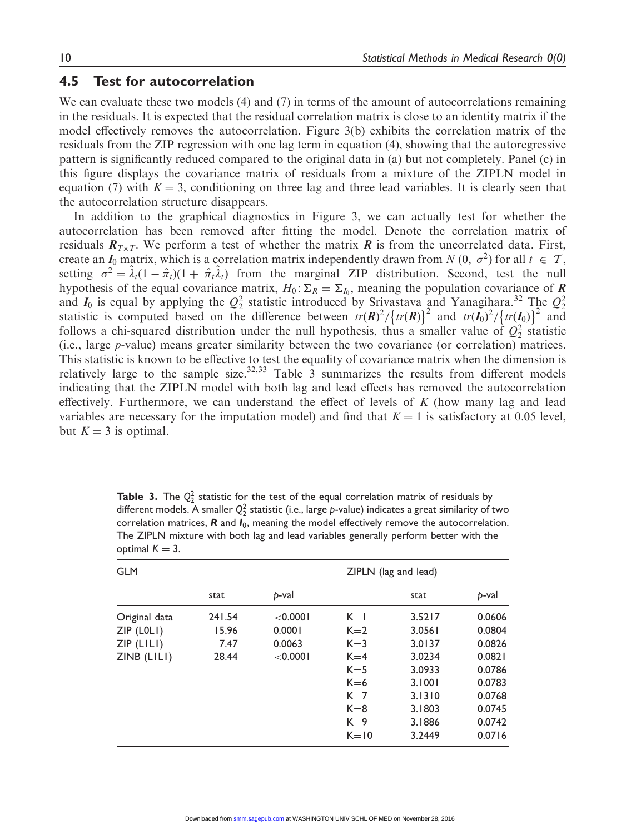#### 4.5 Test for autocorrelation

We can evaluate these two models (4) and (7) in terms of the amount of autocorrelations remaining in the residuals. It is expected that the residual correlation matrix is close to an identity matrix if the model effectively removes the autocorrelation. Figure 3(b) exhibits the correlation matrix of the residuals from the ZIP regression with one lag term in equation (4), showing that the autoregressive pattern is significantly reduced compared to the original data in (a) but not completely. Panel (c) in this figure displays the covariance matrix of residuals from a mixture of the ZIPLN model in equation (7) with  $K = 3$ , conditioning on three lag and three lead variables. It is clearly seen that the autocorrelation structure disappears.

In addition to the graphical diagnostics in Figure 3, we can actually test for whether the autocorrelation has been removed after fitting the model. Denote the correlation matrix of residuals  $R_{T\times T}$ . We perform a test of whether the matrix R is from the uncorrelated data. First, create an  $I_0$  matrix, which is a correlation matrix independently drawn from  $N(0, \sigma^2)$  for all  $t \in \mathcal{T}$ , setting  $\sigma^2 = \lambda_i (1 - \hat{\pi}_i)(1 + \hat{\pi}_i \hat{\lambda}_i)$  from the marginal ZIP distribution. Second, test the null hypothesis of the equal covariance matrix,  $H_0: \Sigma_R = \Sigma_{I_0}$ , meaning the population covariance of **R** and  $I_0$  is equal by applying the  $Q_2^2$  statistic introduced by Srivastava and Yanagihara.<sup>32</sup> The  $Q_2^2$ statistic is computed based on the difference between  $tr(\mathbf{R})^2 / \{ tr(\mathbf{R}) \}^2$  and  $tr(I_0)^2 / \{ tr(I_0) \}^2$  and follows a chi-squared distribution under the null hypothesis, thus a smaller value of  $Q_2^2$  statistic (i.e., large p-value) means greater similarity between the two covariance (or correlation) matrices. This statistic is known to be effective to test the equality of covariance matrix when the dimension is relatively large to the sample size.<sup>32,33</sup> Table 3 summarizes the results from different models indicating that the ZIPLN model with both lag and lead effects has removed the autocorrelation effectively. Furthermore, we can understand the effect of levels of  $K$  (how many lag and lead variables are necessary for the imputation model) and find that  $K = 1$  is satisfactory at 0.05 level, but  $K = 3$  is optimal.

| optimal $\kappa = 3$ . |        |          |                      |        |        |
|------------------------|--------|----------|----------------------|--------|--------|
| <b>GLM</b>             |        |          | ZIPLN (lag and lead) |        |        |
|                        | stat   | b-val    |                      | stat   | p-val  |
| Original data          | 241.54 | < 0.0001 | $K=1$                | 3.5217 | 0.0606 |
| $ZIP$ (LOLI)           | 15.96  | 0.0001   | $K=2$                | 3.0561 | 0.0804 |
| $ZIP$ (LILI)           | 7.47   | 0.0063   | $K = 3$              | 3.0137 | 0.0826 |
| ZINB (LILI)            | 28.44  | < 0.0001 | $K = 4$              | 3.0234 | 0.0821 |
|                        |        |          | $K = 5$              | 3.0933 | 0.0786 |
|                        |        |          | $K=6$                | 3.1001 | 0.0783 |
|                        |        |          | $K=7$                | 3.1310 | 0.0768 |
|                        |        |          | $K = 8$              | 3.1803 | 0.0745 |
|                        |        |          | $K=9$                | 3.1886 | 0.0742 |
|                        |        |          | $K = 10$             | 3.2449 | 0.0716 |

**Table 3.** The  $Q_2^2$  statistic for the test of the equal correlation matrix of residuals by different models. A smaller  $Q_2^2$  statistic (i.e., large p-value) indicates a great similarity of two correlation matrices,  $R$  and  $I_0$ , meaning the model effectively remove the autocorrelation. The ZIPLN mixture with both lag and lead variables generally perform better with the  $\sim$ timal  $\ell$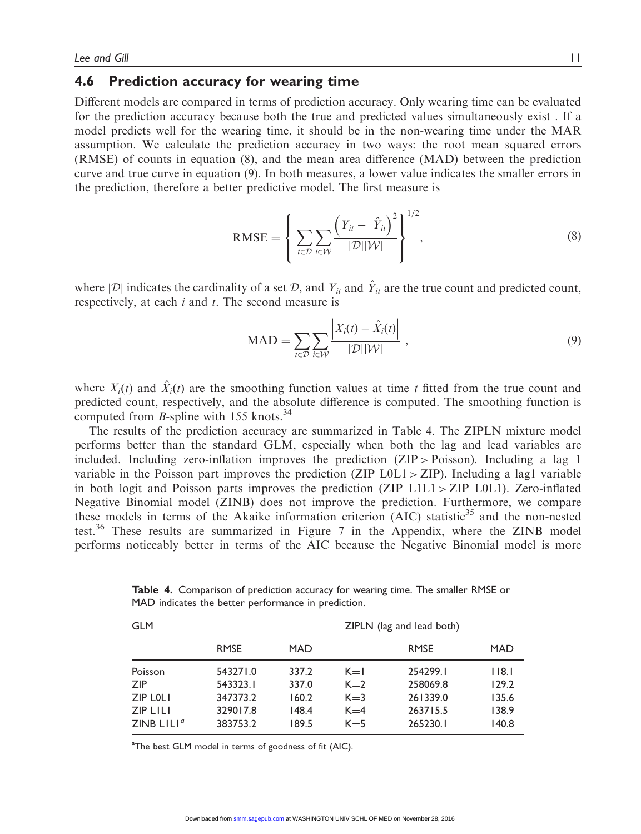#### 4.6 Prediction accuracy for wearing time

Different models are compared in terms of prediction accuracy. Only wearing time can be evaluated for the prediction accuracy because both the true and predicted values simultaneously exist . If a model predicts well for the wearing time, it should be in the non-wearing time under the MAR assumption. We calculate the prediction accuracy in two ways: the root mean squared errors (RMSE) of counts in equation (8), and the mean area difference (MAD) between the prediction curve and true curve in equation (9). In both measures, a lower value indicates the smaller errors in the prediction, therefore a better predictive model. The first measure is

$$
RMSE = \left\{ \sum_{t \in \mathcal{D}} \sum_{i \in \mathcal{W}} \frac{\left(Y_{it} - \hat{Y}_{it}\right)^2}{|\mathcal{D}||\mathcal{W}|} \right\}^{1/2},\tag{8}
$$

where  $|\mathcal{D}|$  indicates the cardinality of a set  $\mathcal{D}$ , and  $Y_{it}$  and  $\hat{Y}_{it}$  are the true count and predicted count, respectively, at each *i* and *t*. The second measure is

$$
\text{MAD} = \sum_{t \in \mathcal{D}} \sum_{i \in \mathcal{W}} \frac{\left| X_i(t) - \hat{X}_i(t) \right|}{|D||\mathcal{W}|}, \tag{9}
$$

where  $X_i(t)$  and  $\hat{X}_i(t)$  are the smoothing function values at time t fitted from the true count and predicted count, respectively, and the absolute difference is computed. The smoothing function is computed from *B*-spline with 155 knots.<sup>34</sup>

The results of the prediction accuracy are summarized in Table 4. The ZIPLN mixture model performs better than the standard GLM, especially when both the lag and lead variables are included. Including zero-inflation improves the prediction  $(ZIP > Poisson)$ . Including a lag 1 variable in the Poisson part improves the prediction (ZIP  $L0L1 > ZIP$ ). Including a lag1 variable in both logit and Poisson parts improves the prediction  $(ZIP L1L1 > ZIP L0L1)$ . Zero-inflated Negative Binomial model (ZINB) does not improve the prediction. Furthermore, we compare these models in terms of the Akaike information criterion (AIC) statistic<sup>35</sup> and the non-nested test.<sup>36</sup> These results are summarized in Figure 7 in the Appendix, where the ZINB model performs noticeably better in terms of the AIC because the Negative Binomial model is more

| <b>GLM</b>                          |             |            | ZIPLN (lag and lead both) |             |            |
|-------------------------------------|-------------|------------|---------------------------|-------------|------------|
|                                     | <b>RMSE</b> | <b>MAD</b> |                           | <b>RMSE</b> | <b>MAD</b> |
| Poisson                             | 543271.0    | 337.2      | $K=1$                     | 254299.1    | 118.1      |
| ZIP                                 | 543323.1    | 337.0      | $K=2$                     | 258069.8    | 129.2      |
| ZIP LOLI                            | 347373.2    | 160.2      | $K=3$                     | 261339.0    | 135.6      |
| <b>ZIP LILI</b>                     | 329017.8    | 148.4      | $K = 4$                   | 263715.5    | 138.9      |
| ZINB LILI <sup><math>q</math></sup> | 383753.2    | 189.5      | $K = 5$                   | 265230.1    | 140.8      |

Table 4. Comparison of prediction accuracy for wearing time. The smaller RMSE or MAD indicates the better performance in prediction.

<sup>a</sup>The best GLM model in terms of goodness of fit (AIC).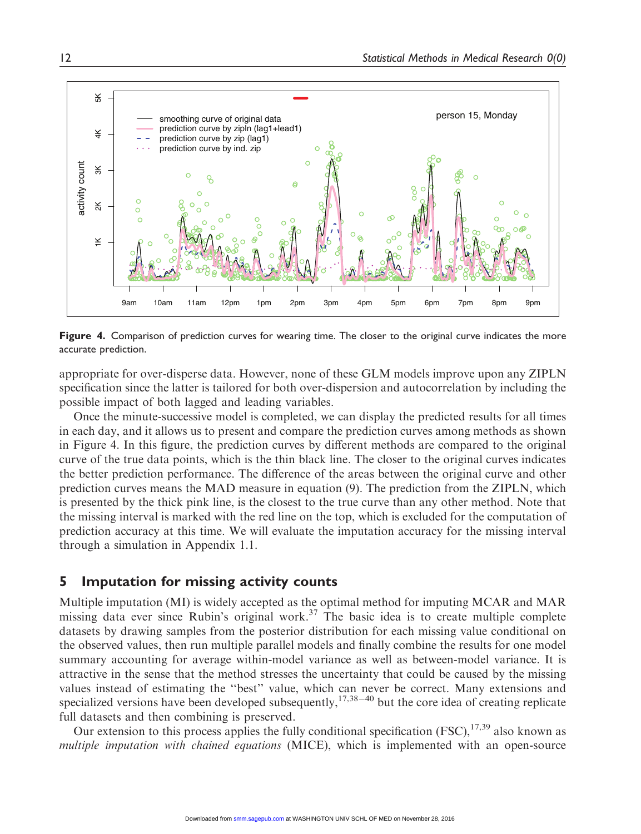

Figure 4. Comparison of prediction curves for wearing time. The closer to the original curve indicates the more accurate prediction.

appropriate for over-disperse data. However, none of these GLM models improve upon any ZIPLN specification since the latter is tailored for both over-dispersion and autocorrelation by including the possible impact of both lagged and leading variables.

Once the minute-successive model is completed, we can display the predicted results for all times in each day, and it allows us to present and compare the prediction curves among methods as shown in Figure 4. In this figure, the prediction curves by different methods are compared to the original curve of the true data points, which is the thin black line. The closer to the original curves indicates the better prediction performance. The difference of the areas between the original curve and other prediction curves means the MAD measure in equation (9). The prediction from the ZIPLN, which is presented by the thick pink line, is the closest to the true curve than any other method. Note that the missing interval is marked with the red line on the top, which is excluded for the computation of prediction accuracy at this time. We will evaluate the imputation accuracy for the missing interval through a simulation in Appendix 1.1.

## 5 Imputation for missing activity counts

Multiple imputation (MI) is widely accepted as the optimal method for imputing MCAR and MAR missing data ever since Rubin's original work.<sup>37</sup> The basic idea is to create multiple complete datasets by drawing samples from the posterior distribution for each missing value conditional on the observed values, then run multiple parallel models and finally combine the results for one model summary accounting for average within-model variance as well as between-model variance. It is attractive in the sense that the method stresses the uncertainty that could be caused by the missing values instead of estimating the ''best'' value, which can never be correct. Many extensions and specialized versions have been developed subsequently,  $17,38-40$  but the core idea of creating replicate full datasets and then combining is preserved.

Our extension to this process applies the fully conditional specification (FSC), $17,39$  also known as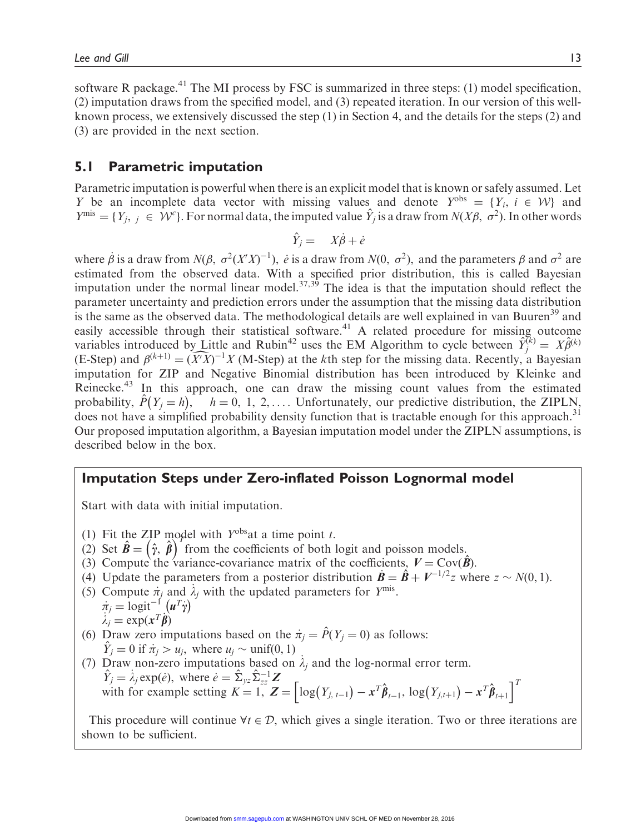software R package.<sup>41</sup> The MI process by FSC is summarized in three steps: (1) model specification, (2) imputation draws from the specified model, and (3) repeated iteration. In our version of this wellknown process, we extensively discussed the step (1) in Section 4, and the details for the steps (2) and (3) are provided in the next section.

## 5.1 Parametric imputation

Parametric imputation is powerful when there is an explicit model that is known or safely assumed. Let Y be an incomplete data vector with missing values and denote  $Y^{obs} = \{Y_i, i \in \mathcal{W}\}\$ and  $Y^{\text{mis}} = \{Y_j, j \in \mathcal{W}^c\}$ . For normal data, the imputed value  $\hat{Y}_j$  is a draw from  $N(X\beta, \sigma^2)$ . In other words

$$
\hat{Y}_j = X\dot{\beta} + \dot{e}
$$

where  $\dot{\beta}$  is a draw from  $N(\beta, \sigma^2(X'X)^{-1})$ ,  $\dot{e}$  is a draw from  $N(0, \sigma^2)$ , and the parameters  $\beta$  and  $\sigma^2$  are estimated from the observed data. With a specified prior distribution, this is called Bayesian imputation under the normal linear model. $37,39$  The idea is that the imputation should reflect the parameter uncertainty and prediction errors under the assumption that the missing data distribution is the same as the observed data. The methodological details are well explained in van Buuren<sup>39</sup> and easily accessible through their statistical software.<sup>41</sup> A related procedure for missing outcome variables introduced by Little and Rubin<sup>42</sup> uses the EM Algorithm to cycle between  $\hat{Y}_j^{(k)} = X \hat{\beta}^{(k)}$ (E-Step) and  $\beta^{(k+1)} = (\widehat{X'X})^{-1}X$  (M-Step) at the kth step for the missing data. Recently, a Bayesian imputation for ZIP and Negative Binomial distribution has been introduced by Kleinke and Reinecke.<sup>43</sup> In this approach, one can draw the missing count values from the estimated probability,  $\hat{P}(Y_i = h)$ ,  $h = 0, 1, 2, \dots$  Unfortunately, our predictive distribution, the ZIPLN, does not have a simplified probability density function that is tractable enough for this approach.<sup>31</sup> Our proposed imputation algorithm, a Bayesian imputation model under the ZIPLN assumptions, is described below in the box.

## Imputation Steps under Zero-inflated Poisson Lognormal model

Start with data with initial imputation.

- (1) Fit the ZIP model with  $Y^{obs}$  at a time point t.
- (1) Fit the ZIP model with  $Y^{\text{ce}}$  at a time point *t*.<br>(2) Set  $\hat{B} = (\hat{\gamma}, \hat{\beta})$  from the coefficients of both logit and poisson models.
- (3) Compute the variance-covariance matrix of the coefficients,  $V = \text{Cov}(\hat{B})$ .
- (4) Update the parameters from a posterior distribution  $\dot{\mathbf{B}} = \hat{\mathbf{B}} + V^{-1/2} z$  where  $z \sim N(0, 1)$ .
- (5) Compute  $\pi_j$  and  $\lambda_j$  with the updated parameters for Y<sup>mis</sup>.  $\dot{\pi}_j = \text{logit}^{-1} (u^T \dot{\gamma})$  $\lambda_j = \exp(x^T \hat{\beta})$
- (6) Draw zero imputations based on the  $\dot{\pi}_j = \hat{P}(Y_j = 0)$  as follows:  $\hat{Y}_j = 0$  if  $\dot{\pi}_j > u_j$ , where  $u_j \sim \text{unif}(0, 1)$
- (7) Draw non-zero imputations based on  $\lambda_j$  and the log-normal error term.  $\hat{Y}_j = \lambda_j \exp(\dot{e}), \text{ where } \dot{e} = \hat{\Sigma}_{yz} \hat{\Sigma}_{zz}^{-1} \mathbf{Z}$  $Y_j = \lambda_j \exp(e)$ , where  $e = \sum_{j=1}^N \sum_{z=1}^N Z = \left[ \log(Y_{j,t-1}) - x^T \hat{\beta}_{t-1}, \log(Y_{j,t+1}) - x^T \hat{\beta}_{t+1} \right]^T$

This procedure will continue  $\forall t \in \mathcal{D}$ , which gives a single iteration. Two or three iterations are shown to be sufficient.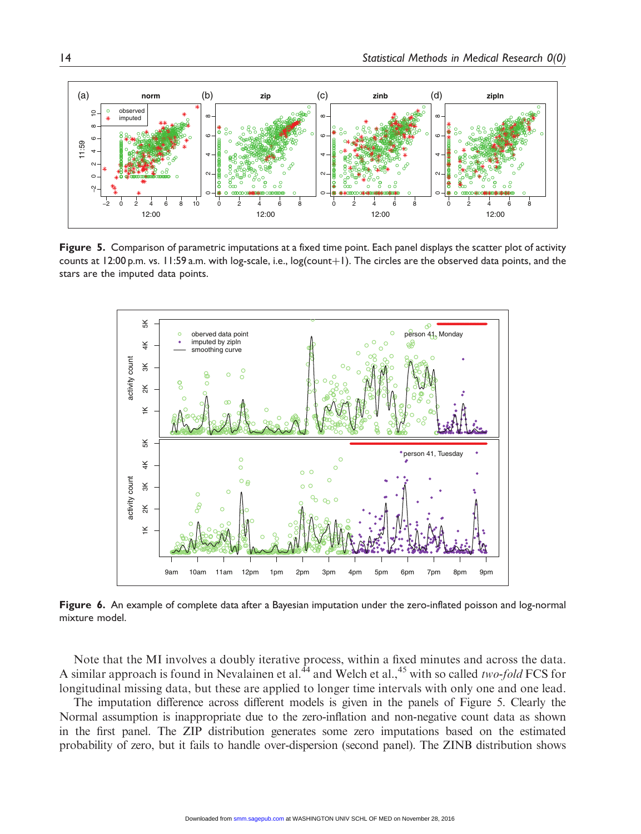

Figure 5. Comparison of parametric imputations at a fixed time point. Each panel displays the scatter plot of activity counts at 12:00 p.m. vs. 11:59 a.m. with log-scale, i.e., log(count+1). The circles are the observed data points, and the stars are the imputed data points.



Figure 6. An example of complete data after a Bayesian imputation under the zero-inflated poisson and log-normal mixture model.

Note that the MI involves a doubly iterative process, within a fixed minutes and across the data. A similar approach is found in Nevalainen et al.<sup>44</sup> and Welch et al.,<sup>45</sup> with so called two-fold FCS for longitudinal missing data, but these are applied to longer time intervals with only one and one lead.

The imputation difference across different models is given in the panels of Figure 5. Clearly the Normal assumption is inappropriate due to the zero-inflation and non-negative count data as shown in the first panel. The ZIP distribution generates some zero imputations based on the estimated probability of zero, but it fails to handle over-dispersion (second panel). The ZINB distribution shows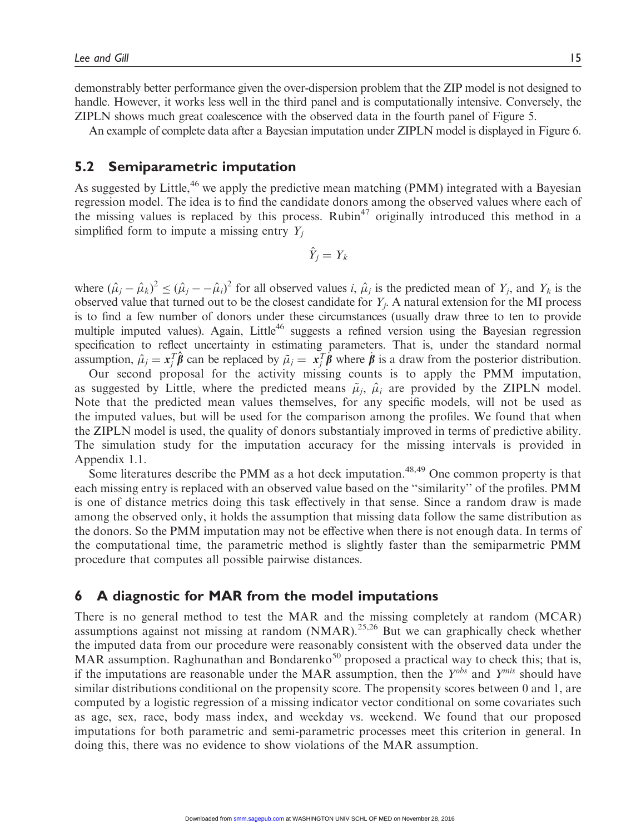demonstrably better performance given the over-dispersion problem that the ZIP model is not designed to handle. However, it works less well in the third panel and is computationally intensive. Conversely, the ZIPLN shows much great coalescence with the observed data in the fourth panel of Figure 5.

An example of complete data after a Bayesian imputation under ZIPLN model is displayed in Figure 6.

## 5.2 Semiparametric imputation

As suggested by Little,<sup>46</sup> we apply the predictive mean matching (PMM) integrated with a Bayesian regression model. The idea is to find the candidate donors among the observed values where each of the missing values is replaced by this process. Rubin<sup>47</sup> originally introduced this method in a simplified form to impute a missing entry  $Y_i$ 

$$
\hat{Y}_j = Y_k
$$

where  $(\hat{\mu}_j - \hat{\mu}_k)^2 \le (\hat{\mu}_j - \hat{\mu}_i)^2$  for all observed values i,  $\hat{\mu}_j$  is the predicted mean of  $Y_j$ , and  $Y_k$  is the observed value that turned out to be the closest candidate for  $Y_j$ . A natural extension for the MI process is to find a few number of donors under these circumstances (usually draw three to ten to provide multiple imputed values). Again, Little<sup>46</sup> suggests a refined version using the Bayesian regression specification to reflect uncertainty in estimating parameters. That is, under the standard normal assumption,  $\hat{\mu}_j = x_j^T \hat{\beta}$  can be replaced by  $\tilde{\mu}_j = x_j^T \tilde{\beta}$  where  $\hat{\beta}$  is a draw from the posterior distribution.

Our second proposal for the activity missing counts is to apply the PMM imputation, as suggested by Little, where the predicted means  $\tilde{\mu}_i$ ,  $\hat{\mu}_i$  are provided by the ZIPLN model. Note that the predicted mean values themselves, for any specific models, will not be used as the imputed values, but will be used for the comparison among the profiles. We found that when the ZIPLN model is used, the quality of donors substantialy improved in terms of predictive ability. The simulation study for the imputation accuracy for the missing intervals is provided in Appendix 1.1.

Some literatures describe the PMM as a hot deck imputation.<sup>48,49</sup> One common property is that each missing entry is replaced with an observed value based on the ''similarity'' of the profiles. PMM is one of distance metrics doing this task effectively in that sense. Since a random draw is made among the observed only, it holds the assumption that missing data follow the same distribution as the donors. So the PMM imputation may not be effective when there is not enough data. In terms of the computational time, the parametric method is slightly faster than the semiparmetric PMM procedure that computes all possible pairwise distances.

#### 6 A diagnostic for MAR from the model imputations

There is no general method to test the MAR and the missing completely at random (MCAR) assumptions against not missing at random  $(NMAR)$ .<sup>25,26</sup> But we can graphically check whether the imputed data from our procedure were reasonably consistent with the observed data under the MAR assumption. Raghunathan and Bondarenko<sup>50</sup> proposed a practical way to check this; that is, if the imputations are reasonable under the MAR assumption, then the  $Y^{obs}$  and  $Y^{mis}$  should have similar distributions conditional on the propensity score. The propensity scores between 0 and 1, are computed by a logistic regression of a missing indicator vector conditional on some covariates such as age, sex, race, body mass index, and weekday vs. weekend. We found that our proposed imputations for both parametric and semi-parametric processes meet this criterion in general. In doing this, there was no evidence to show violations of the MAR assumption.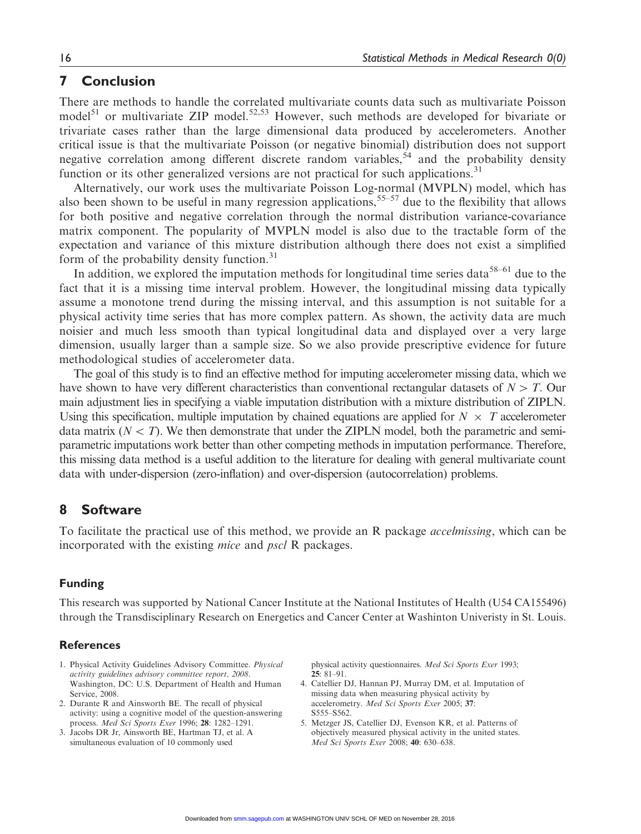# 7 Conclusion

There are methods to handle the correlated multivariate counts data such as multivariate Poisson model<sup>51</sup> or multivariate ZIP model.<sup>52,53</sup> However, such methods are developed for bivariate or trivariate cases rather than the large dimensional data produced by accelerometers. Another critical issue is that the multivariate Poisson (or negative binomial) distribution does not support negative correlation among different discrete random variables,  $54$  and the probability density function or its other generalized versions are not practical for such applications.<sup>31</sup>

Alternatively, our work uses the multivariate Poisson Log-normal (MVPLN) model, which has also been shown to be useful in many regression applications,  $55-57$  due to the flexibility that allows for both positive and negative correlation through the normal distribution variance-covariance matrix component. The popularity of MVPLN model is also due to the tractable form of the expectation and variance of this mixture distribution although there does not exist a simplified form of the probability density function.<sup>31</sup>

In addition, we explored the imputation methods for longitudinal time series data $58-61$  due to the fact that it is a missing time interval problem. However, the longitudinal missing data typically assume a monotone trend during the missing interval, and this assumption is not suitable for a physical activity time series that has more complex pattern. As shown, the activity data are much noisier and much less smooth than typical longitudinal data and displayed over a very large dimension, usually larger than a sample size. So we also provide prescriptive evidence for future methodological studies of accelerometer data.

The goal of this study is to find an effective method for imputing accelerometer missing data, which we have shown to have very different characteristics than conventional rectangular datasets of  $N > T$ . Our main adjustment lies in specifying a viable imputation distribution with a mixture distribution of ZIPLN. Using this specification, multiple imputation by chained equations are applied for  $N \times T$  accelerometer data matrix  $(N < T)$ . We then demonstrate that under the ZIPLN model, both the parametric and semiparametric imputations work better than other competing methods in imputation performance. Therefore, this missing data method is a useful addition to the literature for dealing with general multivariate count data with under-dispersion (zero-inflation) and over-dispersion (autocorrelation) problems.

## 8 Software

To facilitate the practical use of this method, we provide an R package accelmissing, which can be incorporated with the existing *mice* and *pscl* R packages.

#### Funding

This research was supported by National Cancer Institute at the National Institutes of Health (U54 CA155496) through the Transdisciplinary Research on Energetics and Cancer Center at Washinton Univeristy in St. Louis.

#### **References**

- 1. Physical Activity Guidelines Advisory Committee. Physical activity guidelines advisory committee report, 2008. Washington, DC: U.S. Department of Health and Human Service, 2008.
- 2. Durante R and Ainsworth BE. The recall of physical activity: using a cognitive model of the question-answering process. Med Sci Sports Exer 1996; 28: 1282–1291.
- 3. Jacobs DR Jr, Ainsworth BE, Hartman TJ, et al. A simultaneous evaluation of 10 commonly used

physical activity questionnaires. Med Sci Sports Exer 1993;  $25: 81-91$ .

- 4. Catellier DJ, Hannan PJ, Murray DM, et al. Imputation of missing data when measuring physical activity by accelerometry. Med Sci Sports Exer 2005; 37: S555–S562.
- 5. Metzger JS, Catellier DJ, Evenson KR, et al. Patterns of objectively measured physical activity in the united states. Med Sci Sports Exer 2008; 40: 630–638.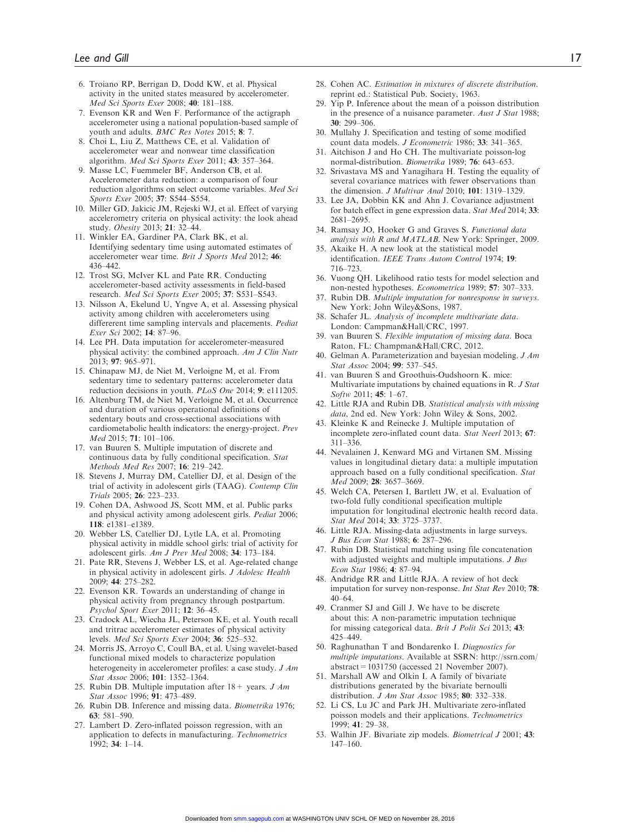- 6. Troiano RP, Berrigan D, Dodd KW, et al. Physical activity in the united states measured by accelerometer. Med Sci Sports Exer 2008; 40: 181–188.
- 7. Evenson KR and Wen F. Performance of the actigraph accelerometer using a national population-based sample of youth and adults. **BMC Res Notes 2015: 8:** 7.
- 8. Choi L, Liu Z, Matthews CE, et al. Validation of accelerometer wear and nonwear time classification algorithm. Med Sci Sports Exer 2011; 43: 357-364.
- 9. Masse LC, Fuemmeler BF, Anderson CB, et al. Accelerometer data reduction: a comparison of four reduction algorithms on select outcome variables. Med Sci Sports Exer 2005; 37: S544–S554.
- 10. Miller GD, Jakicic JM, Rejeski WJ, et al. Effect of varying accelerometry criteria on physical activity: the look ahead study. Obesity 2013; 21: 32–44.
- 11. Winkler EA, Gardiner PA, Clark BK, et al. Identifying sedentary time using automated estimates of accelerometer wear time. Brit  $\tilde{J}$  Sports Med 2012; 46: 436–442.
- 12. Trost SG, McIver KL and Pate RR. Conducting accelerometer-based activity assessments in field-based research. Med Sci Sports Exer 2005; 37: S531-S543.
- 13. Nilsson A, Ekelund U, Yngve A, et al. Assessing physical activity among children with accelerometers using differerent time sampling intervals and placements. Pediat Exer Sci 2002; 14: 87–96.
- 14. Lee PH. Data imputation for accelerometer-measured physical activity: the combined approach. Am J Clin Nutr 2013; 97: 965–971.
- 15. Chinapaw MJ, de Niet M, Verloigne M, et al. From sedentary time to sedentary patterns: accelerometer data reduction decisions in youth. PLoS One 2014; 9: e111205.
- 16. Altenburg TM, de Niet M, Verloigne M, et al. Occurrence and duration of various operational definitions of sedentary bouts and cross-sectional associations with cardiometabolic health indicators: the energy-project. Prev Med 2015; 71: 101–106.
- 17. van Buuren S. Multiple imputation of discrete and continuous data by fully conditional specification. Stat Methods Med Res 2007; 16: 219–242.
- 18. Stevens J, Murray DM, Catellier DJ, et al. Design of the trial of activity in adolescent girls (TAAG). Contemp Clin Trials 2005; 26: 223–233.
- 19. Cohen DA, Ashwood JS, Scott MM, et al. Public parks and physical activity among adolescent girls. Pediat 2006; 118: e1381–e1389.
- 20. Webber LS, Catellier DJ, Lytle LA, et al. Promoting physical activity in middle school girls: trial of activity for adolescent girls. Am J Prev Med 2008; 34: 173–184.
- 21. Pate RR, Stevens J, Webber LS, et al. Age-related change in physical activity in adolescent girls. J Adolesc Health 2009; 44: 275–282.
- 22. Evenson KR. Towards an understanding of change in physical activity from pregnancy through postpartum. Psychol Sport Exer 2011; 12: 36–45.
- 23. Cradock AL, Wiecha JL, Peterson KE, et al. Youth recall and tritrac accelerometer estimates of physical activity levels. Med Sci Sports Exer 2004; 36: 525-532.
- 24. Morris JS, Arroyo C, Coull BA, et al. Using wavelet-based functional mixed models to characterize population heterogeneity in accelerometer profiles: a case study. J Am Stat Assoc 2006; 101: 1352-1364.
- 25. Rubin DB. Multiple imputation after  $18 + \text{ years}$ . J Am Stat Assoc 1996; 91: 473–489.
- 26. Rubin DB. Inference and missing data. Biometrika 1976; 63: 581–590.
- 27. Lambert D. Zero-inflated poisson regression, with an application to defects in manufacturing. Technometrics 1992; 34: 1–14.
- 28. Cohen AC. Estimation in mixtures of discrete distribution. reprint ed.: Statistical Pub. Society, 1963.
- 29. Yip P. Inference about the mean of a poisson distribution in the presence of a nuisance parameter. Aust J Stat 1988; 30: 299–306.
- 30. Mullahy J. Specification and testing of some modified count data models. J Econometric 1986; 33: 341–365.
- 31. Aitchison J and Ho CH. The multivariate poisson-log normal-distribution. Biometrika 1989; 76: 643–653.
- 32. Srivastava MS and Yanagihara H. Testing the equality of several covariance matrices with fewer observations than the dimension. J Multivar Anal 2010; 101: 1319–1329.
- 33. Lee JA, Dobbin KK and Ahn J. Covariance adjustment for batch effect in gene expression data. Stat Med 2014; 33: 2681–2695.
- 34. Ramsay JO, Hooker G and Graves S. Functional data analysis with R and MATLAB. New York: Springer, 2009.
- 35. Akaike H. A new look at the statistical model identification. IEEE Trans Autom Control 1974; 19: 716–723.
- 36. Vuong QH. Likelihood ratio tests for model selection and non-nested hypotheses. Econometrica 1989; 57: 307–333.
- 37. Rubin DB. Multiple imputation for nonresponse in surveys. New York: John Wiley&Sons, 1987.
- 38. Schafer JL. Analysis of incomplete multivariate data. London: Campman&Hall/CRC, 1997.
- 39. van Buuren S. Flexible imputation of missing data. Boca Raton, FL: Champman&Hall/CRC, 2012.
- 40. Gelman A. Parameterization and bayesian modeling.  $JAm$ Stat Assoc 2004; 99: 537–545.
- 41. van Buuren S and Groothuis-Oudshoorn K. mice: Multivariate imputations by chained equations in R. J Stat Softw 2011; 45: 1–67.
- 42. Little RJA and Rubin DB. Statistical analysis with missing data, 2nd ed. New York: John Wiley & Sons, 2002.
- 43. Kleinke K and Reinecke J. Multiple imputation of incomplete zero-inflated count data. Stat Neerl 2013; 67: 311–336.
- 44. Nevalainen J, Kenward MG and Virtanen SM. Missing values in longitudinal dietary data: a multiple imputation approach based on a fully conditional specification. Stat Med 2009; 28: 3657–3669.
- 45. Welch CA, Petersen I, Bartlett JW, et al. Evaluation of two-fold fully conditional specification multiple imputation for longitudinal electronic health record data. Stat Med 2014; 33: 3725–3737.
- 46. Little RJA. Missing-data adjustments in large surveys. J Bus Econ Stat 1988; 6: 287–296.
- 47. Rubin DB. Statistical matching using file concatenation with adjusted weights and multiple imputations.  $J$  Bus Econ Stat 1986; 4: 87–94.
- 48. Andridge RR and Little RJA. A review of hot deck imputation for survey non-response. Int Stat Rev 2010; 78: 40–64.
- 49. Cranmer SJ and Gill J. We have to be discrete about this: A non-parametric imputation technique for missing categorical data. Brit J Polit Sci 2013; 43: 425–449.
- 50. Raghunathan T and Bondarenko I. Diagnostics for multiple imputations. Available at SSRN: [http://ssrn.com/](http://ssrn.com/abstract=1031750) [abstract=1031750](http://ssrn.com/abstract=1031750) (accessed 21 November 2007).
- 51. Marshall AW and Olkin I. A family of bivariate distributions generated by the bivariate bernoulli distribution. J Am Stat Assoc 1985; 80: 332–338.
- 52. Li CS, Lu JC and Park JH. Multivariate zero-inflated poisson models and their applications. Technometrics 1999; 41: 29–38.
- 53. Walhin JF. Bivariate zip models. Biometrical J 2001; 43: 147–160.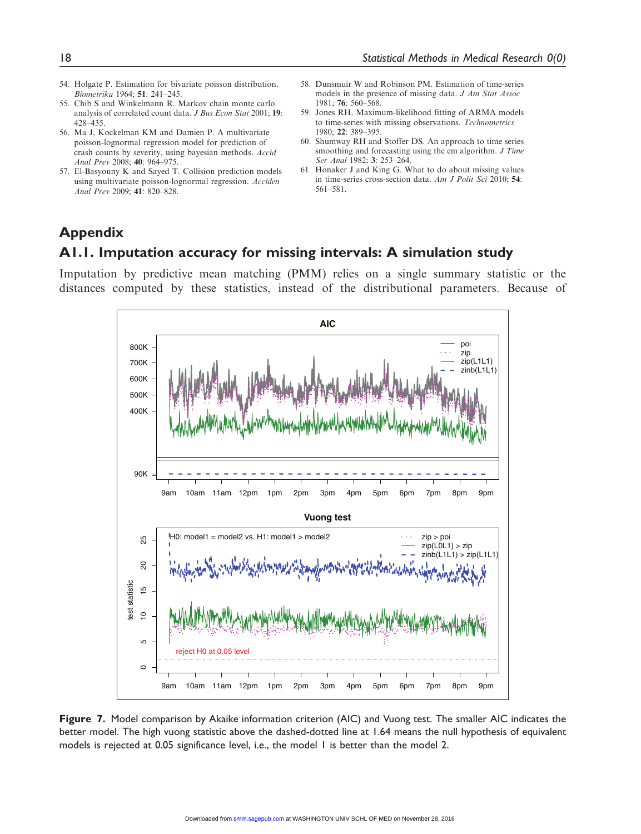- 54. Holgate P. Estimation for bivariate poisson distribution. Biometrika 1964; 51: 241–245.
- 55. Chib S and Winkelmann R. Markov chain monte carlo analysis of correlated count data. J Bus Econ Stat 2001; 19: 428–435.
- 56. Ma J, Kockelman KM and Damien P. A multivariate poisson-lognormal regression model for prediction of crash counts by severity, using bayesian methods. Accid Anal Prev 2008; 40: 964–975.
- 57. El-Basyouny K and Sayed T. Collision prediction models using multivariate poisson-lognormal regression. Acciden Anal Prev 2009; 41: 820–828.
- 58. Dunsmuir W and Robinson PM. Estimation of time-series models in the presence of missing data. J Am Stat Assoc 1981; 76: 560–568.
- 59. Jones RH. Maximum-likelihood fitting of ARMA models to time-series with missing observations. Technometrics 1980; 22: 389–395.
- 60. Shumway RH and Stoffer DS. An approach to time series smoothing and forecasting using the em algorithm. *J Time* Ser Anal 1982; 3: 253-264.
- 61. Honaker J and King G. What to do about missing values in time-series cross-section data. Am J Polit Sci 2010; 54: 561–581.

# Appendix

## A1.1. Imputation accuracy for missing intervals: A simulation study

Imputation by predictive mean matching (PMM) relies on a single summary statistic or the distances computed by these statistics, instead of the distributional parameters. Because of



Figure 7. Model comparison by Akaike information criterion (AIC) and Vuong test. The smaller AIC indicates the better model. The high vuong statistic above the dashed-dotted line at 1.64 means the null hypothesis of equivalent models is rejected at 0.05 significance level, i.e., the model 1 is better than the model 2.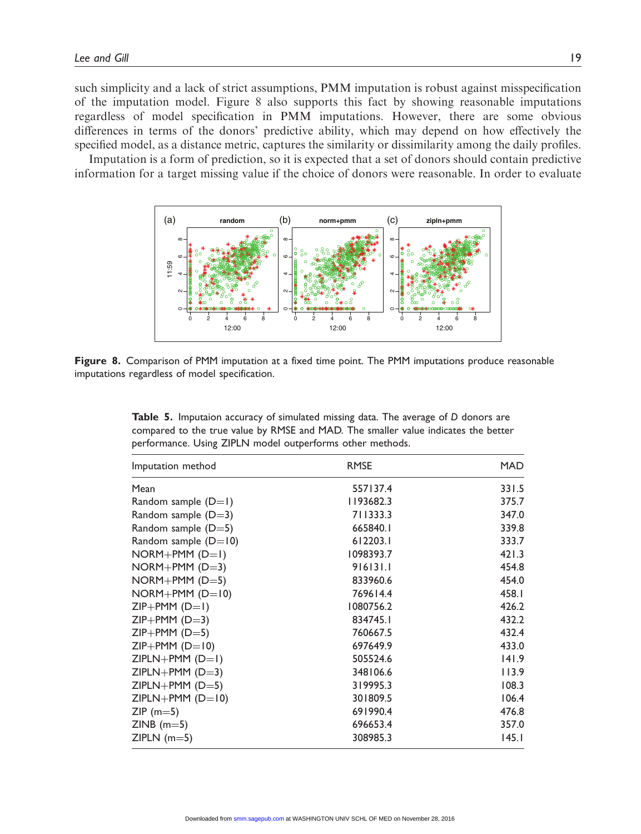such simplicity and a lack of strict assumptions, PMM imputation is robust against misspecification of the imputation model. Figure 8 also supports this fact by showing reasonable imputations regardless of model specification in PMM imputations. However, there are some obvious differences in terms of the donors' predictive ability, which may depend on how effectively the specified model, as a distance metric, captures the similarity or dissimilarity among the daily profiles.

Imputation is a form of prediction, so it is expected that a set of donors should contain predictive information for a target missing value if the choice of donors were reasonable. In order to evaluate



Figure 8. Comparison of PMM imputation at a fixed time point. The PMM imputations produce reasonable imputations regardless of model specification.

|  | <b>Table 5.</b> Imputaion accuracy of simulated missing data. The average of D donors are |
|--|-------------------------------------------------------------------------------------------|
|  | compared to the true value by RMSE and MAD. The smaller value indicates the better        |
|  | performance. Using ZIPLN model outperforms other methods.                                 |

| Imputation method      | <b>RMSE</b> | <b>MAD</b> |
|------------------------|-------------|------------|
| Mean                   | 557137.4    | 331.5      |
| Random sample $(D=1)$  | 1193682.3   | 375.7      |
| Random sample $(D=3)$  | 711333.3    | 347.0      |
| Random sample $(D=5)$  | 665840.1    | 339.8      |
| Random sample $(D=10)$ | 612203.1    | 333.7      |
| $NORM+PMM (D=1)$       | 1098393.7   | 421.3      |
| $NORM+PMM (D=3)$       | 916131.1    | 454.8      |
| $NORM+PMM (D=5)$       | 833960.6    | 454.0      |
| $NORM+PMM (D=10)$      | 769614.4    | 458.I      |
| $ZIP+PMM$ (D=1)        | 1080756.2   | 426.2      |
| $ZIP+PMM$ (D=3)        | 834745.1    | 432.2      |
| $ZIP+PMM$ (D=5)        | 760667.5    | 432.4      |
| $ZIP+PMM$ (D=10)       | 697649.9    | 433.0      |
| $ZIPLN+PMM (D=1)$      | 505524.6    | 141.9      |
| $ZIPLN+PMM (D=3)$      | 348106.6    | 113.9      |
| $ZIPLN+PMM$ (D=5)      | 319995.3    | 108.3      |
| $ZIPLN+PMM (D=10)$     | 301809.5    | 106.4      |
| $ZIP$ (m=5)            | 691990.4    | 476.8      |
| $ZINB$ (m=5)           | 696653.4    | 357.0      |
| $ZIPLN$ (m=5)          | 308985.3    | 145.1      |